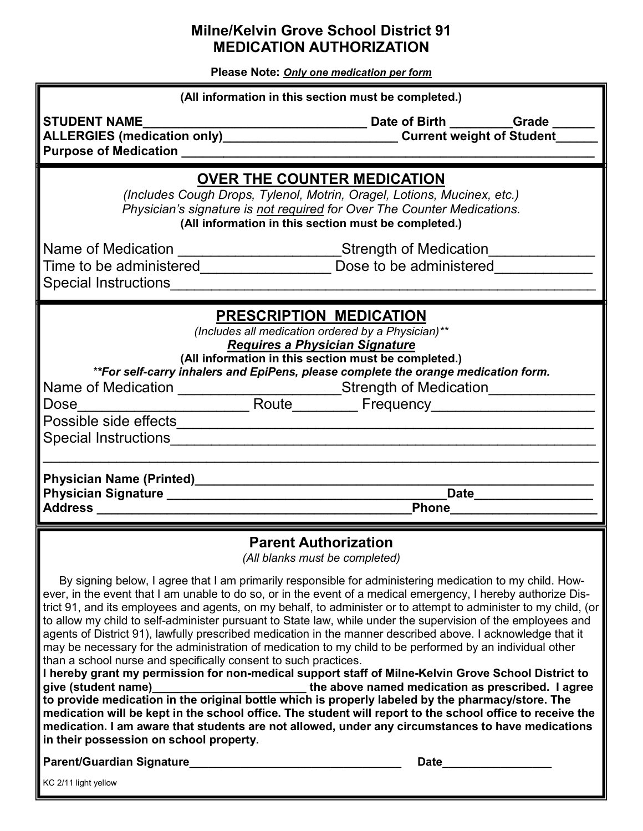## **Milne/Kelvin Grove School District 91 MEDICATION AUTHORIZATION**

**Please Note:** *Only one medication per form*

| (All information in this section must be completed.)                                                                                                                                                                             |                                                                                                                                                                                                                                    |
|----------------------------------------------------------------------------------------------------------------------------------------------------------------------------------------------------------------------------------|------------------------------------------------------------------------------------------------------------------------------------------------------------------------------------------------------------------------------------|
| <b>STUDENT NAME</b>                                                                                                                                                                                                              |                                                                                                                                                                                                                                    |
| ALLERGIES (medication only)_______________________________Current weight of Student__                                                                                                                                            |                                                                                                                                                                                                                                    |
|                                                                                                                                                                                                                                  |                                                                                                                                                                                                                                    |
| <b>OVER THE COUNTER MEDICATION</b>                                                                                                                                                                                               |                                                                                                                                                                                                                                    |
| (Includes Cough Drops, Tylenol, Motrin, Oragel, Lotions, Mucinex, etc.)                                                                                                                                                          |                                                                                                                                                                                                                                    |
| Physician's signature is not required for Over The Counter Medications.<br>(All information in this section must be completed.)                                                                                                  |                                                                                                                                                                                                                                    |
|                                                                                                                                                                                                                                  |                                                                                                                                                                                                                                    |
| Name of Medication _____________________Strength of Medication______                                                                                                                                                             |                                                                                                                                                                                                                                    |
| Time to be administered___________________________ Dose to be administered_______                                                                                                                                                |                                                                                                                                                                                                                                    |
| Special Instructions Management Control of the Special Instructions of the Special Instructions of the Special Instructions of the Special Institutions of the Special Institutions of the Special Institutions of the Special   |                                                                                                                                                                                                                                    |
|                                                                                                                                                                                                                                  |                                                                                                                                                                                                                                    |
|                                                                                                                                                                                                                                  | <b>PRESCRIPTION MEDICATION</b>                                                                                                                                                                                                     |
|                                                                                                                                                                                                                                  | (Includes all medication ordered by a Physician)**                                                                                                                                                                                 |
| <b>Requires a Physician Signature</b><br>(All information in this section must be completed.)                                                                                                                                    |                                                                                                                                                                                                                                    |
|                                                                                                                                                                                                                                  | **For self-carry inhalers and EpiPens, please complete the orange medication form.                                                                                                                                                 |
| Name of Medication ______________________Strength of Medication_____________                                                                                                                                                     |                                                                                                                                                                                                                                    |
| Dose                                                                                                                                                                                                                             |                                                                                                                                                                                                                                    |
|                                                                                                                                                                                                                                  |                                                                                                                                                                                                                                    |
|                                                                                                                                                                                                                                  |                                                                                                                                                                                                                                    |
|                                                                                                                                                                                                                                  |                                                                                                                                                                                                                                    |
|                                                                                                                                                                                                                                  |                                                                                                                                                                                                                                    |
|                                                                                                                                                                                                                                  | Date_________________                                                                                                                                                                                                              |
| Address and the contract of the contract of the contract of the contract of the contract of the contract of the                                                                                                                  | <b>Phone Contract Contract Contract Contract Contract Contract Contract Contract Contract Contract Contract Contract Contract Contract Contract Contract Contract Contract Contract Contract Contract Contract Contract Contra</b> |
| <b>Parent Authorization</b>                                                                                                                                                                                                      |                                                                                                                                                                                                                                    |
|                                                                                                                                                                                                                                  | (All blanks must be completed)                                                                                                                                                                                                     |
|                                                                                                                                                                                                                                  | By signing below, I agree that I am primarily responsible for administering medication to my child. How-                                                                                                                           |
| ever, in the event that I am unable to do so, or in the event of a medical emergency, I hereby authorize Dis-                                                                                                                    |                                                                                                                                                                                                                                    |
| trict 91, and its employees and agents, on my behalf, to administer or to attempt to administer to my child, (or<br>to allow my child to self-administer pursuant to State law, while under the supervision of the employees and |                                                                                                                                                                                                                                    |
| agents of District 91), lawfully prescribed medication in the manner described above. I acknowledge that it                                                                                                                      |                                                                                                                                                                                                                                    |
| may be necessary for the administration of medication to my child to be performed by an individual other                                                                                                                         |                                                                                                                                                                                                                                    |
| than a school nurse and specifically consent to such practices.                                                                                                                                                                  |                                                                                                                                                                                                                                    |
|                                                                                                                                                                                                                                  | I hereby grant my permission for non-medical support staff of Milne-Kelvin Grove School District to                                                                                                                                |
| give (student name)<br>to provide medication in the original bottle which is properly labeled by the pharmacy/store. The                                                                                                         | the above named medication as prescribed. I agree                                                                                                                                                                                  |
| medication will be kept in the school office. The student will report to the school office to receive the                                                                                                                        |                                                                                                                                                                                                                                    |

**medication. I am aware that students are not allowed, under any circumstances to have medications in their possession on school property. Parent/Guardian Signature\_\_\_\_\_\_\_\_\_\_\_\_\_\_\_\_\_\_\_\_\_\_\_\_\_\_\_\_\_\_\_\_\_ Date\_\_\_\_\_\_\_\_\_\_\_\_\_\_\_\_\_**

KC 2/11 light yellow